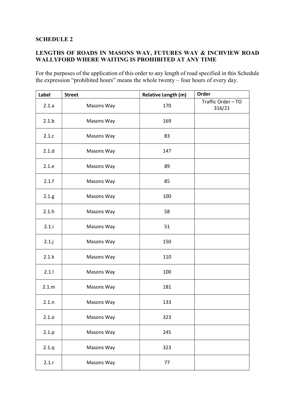### SCHEDULE 2

## LENGTHS OF ROADS IN MASONS WAY, FUTURES WAY & INCHVIEW ROAD WALLYFORD WHERE WAITING IS PROHIBITED AT ANY TIME

For the purposes of the application of this order to any length of road specified in this Schedule the expression "prohibited hours" means the whole twenty – four hours of every day.

| Label    | <b>Street</b> | <b>Relative Length (m)</b> | Order                        |
|----------|---------------|----------------------------|------------------------------|
| 2.1.a    | Masons Way    | 170                        | Traffic Order - TO<br>316/21 |
| 2.1.b    | Masons Way    | 169                        |                              |
| 2.1.c    | Masons Way    | 83                         |                              |
| 2.1.d    | Masons Way    | 147                        |                              |
| 2.1.e    | Masons Way    | 89                         |                              |
| 2.1.f    | Masons Way    | 85                         |                              |
| 2.1.g    | Masons Way    | 100                        |                              |
| 2.1.h    | Masons Way    | 58                         |                              |
| 2.1.i    | Masons Way    | 51                         |                              |
| $2.1$ .j | Masons Way    | 150                        |                              |
| 2.1.k    | Masons Way    | 110                        |                              |
| 2.1.1    | Masons Way    | 100                        |                              |
| 2.1.m    | Masons Way    | 181                        |                              |
| 2.1.n    | Masons Way    | 133                        |                              |
| 2.1.0    | Masons Way    | 323                        |                              |
| 2.1.p    | Masons Way    | 245                        |                              |
| 2.1.9    | Masons Way    | 323                        |                              |
| 2.1.r    | Masons Way    | 77                         |                              |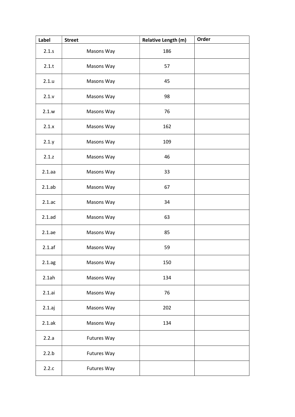| Label     | <b>Street</b>      | <b>Relative Length (m)</b> | Order |
|-----------|--------------------|----------------------------|-------|
| 2.1.5     | Masons Way         | 186                        |       |
| 2.1.t     | Masons Way         | 57                         |       |
| 2.1.u     | Masons Way         | 45                         |       |
| 2.1.v     | Masons Way         | 98                         |       |
| 2.1.w     | Masons Way         | 76                         |       |
| 2.1.x     | Masons Way         | 162                        |       |
| 2.1 y     | Masons Way         | 109                        |       |
| 2.1.z     | Masons Way         | 46                         |       |
| 2.1.aa    | Masons Way         | 33                         |       |
| $2.1$ .ab | Masons Way         | 67                         |       |
| 2.1.ac    | Masons Way         | 34                         |       |
| $2.1$ .ad | Masons Way         | 63                         |       |
| 2.1.ae    | Masons Way         | 85                         |       |
| 2.1 af    | Masons Way         | 59                         |       |
| 2.1ag     | Masons Way         | 150                        |       |
| 2.1ah     | Masons Way         | 134                        |       |
| 2.1.ai    | Masons Way         | 76                         |       |
| 2.1.aj    | Masons Way         | 202                        |       |
| 2.1ak     | Masons Way         | 134                        |       |
| 2.2.a     | Futures Way        |                            |       |
| 2.2.b     | <b>Futures Way</b> |                            |       |
| 2.2.c     | <b>Futures Way</b> |                            |       |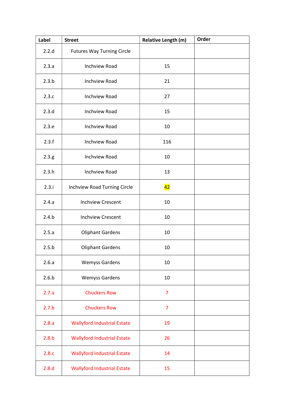| Label | <b>Street</b>                      | <b>Relative Length (m)</b> | Order |
|-------|------------------------------------|----------------------------|-------|
| 2.2.d | <b>Futures Way Turning Circle</b>  |                            |       |
| 2.3.a | <b>Inchview Road</b>               | 15                         |       |
| 2.3.b | <b>Inchview Road</b>               | 21                         |       |
| 2.3.c | <b>Inchview Road</b>               | 27                         |       |
| 2.3.d | <b>Inchview Road</b>               | 15                         |       |
| 2.3.e | <b>Inchview Road</b>               | 10                         |       |
| 2.3.f | <b>Inchview Road</b>               | 116                        |       |
| 2.3.g | <b>Inchview Road</b>               | 10                         |       |
| 2.3.h | <b>Inchview Road</b>               | 13                         |       |
| 2.3.i | Inchview Road Turning Circle       | 42                         |       |
| 2.4.a | <b>Inchview Crescent</b>           | 10                         |       |
| 2.4.b | <b>Inchview Crescent</b>           | 10                         |       |
| 2.5.a | <b>Oliphant Gardens</b>            | 10                         |       |
| 2.5.b | <b>Oliphant Gardens</b>            | 10                         |       |
| 2.6.a | <b>Wemyss Gardens</b>              | 10                         |       |
| 2.6.b | <b>Wemyss Gardens</b>              | 10                         |       |
| 2.7.a | <b>Chuckers Row</b>                | $\overline{7}$             |       |
| 2.7.b | <b>Chuckers Row</b>                | $\overline{7}$             |       |
| 2.8.a | <b>Wallyford Industrial Estate</b> | 19                         |       |
| 2.8.b | <b>Wallyford Industrial Estate</b> | 26                         |       |
| 2.8.c | <b>Wallyford Industrial Estate</b> | 14                         |       |
| 2.8.d | <b>Wallyford Industrial Estate</b> | 15                         |       |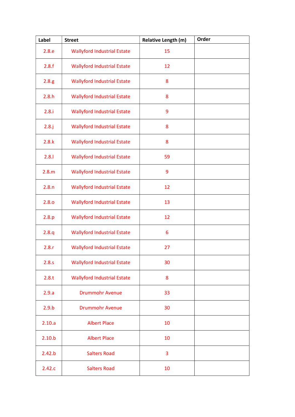| Label    | <b>Street</b>                      | Relative Length (m) | Order |
|----------|------------------------------------|---------------------|-------|
| 2.8.e    | <b>Wallyford Industrial Estate</b> | 15                  |       |
| 2.8.f    | <b>Wallyford Industrial Estate</b> | 12                  |       |
| 2.8.g    | <b>Wallyford Industrial Estate</b> | 8                   |       |
| 2.8.h    | <b>Wallyford Industrial Estate</b> | 8                   |       |
| 2.8.i    | <b>Wallyford Industrial Estate</b> | 9                   |       |
| $2.8.$ j | <b>Wallyford Industrial Estate</b> | 8                   |       |
| 2.8.k    | <b>Wallyford Industrial Estate</b> | 8                   |       |
| 2.8.1    | <b>Wallyford Industrial Estate</b> | 59                  |       |
| 2.8.m    | <b>Wallyford Industrial Estate</b> | 9                   |       |
| 2.8.n    | <b>Wallyford Industrial Estate</b> | 12                  |       |
| 2.8.0    | <b>Wallyford Industrial Estate</b> | 13                  |       |
| 2.8.p    | <b>Wallyford Industrial Estate</b> | 12                  |       |
| 2.8.q    | <b>Wallyford Industrial Estate</b> | 6                   |       |
| 2.8.r    | <b>Wallyford Industrial Estate</b> | 27                  |       |
| 2.8.s    | <b>Wallyford Industrial Estate</b> | 30                  |       |
| 2.8.t    | <b>Wallyford Industrial Estate</b> | 8                   |       |
| 2.9.a    | <b>Drummohr Avenue</b>             | 33                  |       |
| 2.9.b    | <b>Drummohr Avenue</b>             | 30                  |       |
| 2.10.a   | <b>Albert Place</b>                | 10                  |       |
| 2.10.b   | <b>Albert Place</b>                | 10                  |       |
| 2.42.b   | <b>Salters Road</b>                | 3                   |       |
| 2.42.c   | <b>Salters Road</b>                | 10                  |       |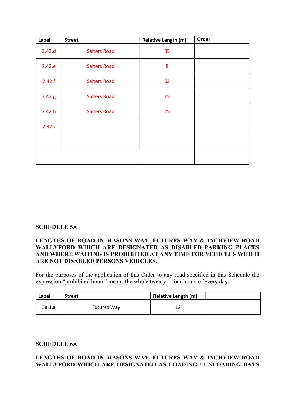| Label  | <b>Street</b>       | <b>Relative Length (m)</b> | Order |
|--------|---------------------|----------------------------|-------|
| 2.42.d | <b>Salters Road</b> | 35                         |       |
| 2.42.e | <b>Salters Road</b> | 8                          |       |
| 2.42.f | <b>Salters Road</b> | 52                         |       |
| 2.42.g | <b>Salters Road</b> | 15                         |       |
| 2.42.h | <b>Salters Road</b> | 25                         |       |
| 2.42.i |                     |                            |       |
|        |                     |                            |       |
|        |                     |                            |       |

#### SCHEDULE 5A

### LENGTHS OF ROAD IN MASONS WAY, FUTURES WAY & INCHVIEW ROAD WALLYFORD WHICH ARE DESIGNATED AS DISABLED PARKING PLACES AND WHERE WAITING IS PROHIBITED AT ANY TIME FOR VEHICLES WHICH ARE NOT DISABLED PERSONS VEHICLES.

For the purposes of the application of this Order to any road specified in this Schedule the expression "prohibited hours" means the whole twenty – four hours of every day.

| Label  | <b>Street</b>      | <b>Relative Length (m)</b> |  |
|--------|--------------------|----------------------------|--|
| 5a.1.a | <b>Futures Way</b> |                            |  |

#### SCHEDULE 6A

### LENGTHS OF ROAD IN MASONS WAY, FUTURES WAY & INCHVIEW ROAD WALLYFORD WHICH ARE DESIGNATED AS LOADING / UNLOADING BAYS